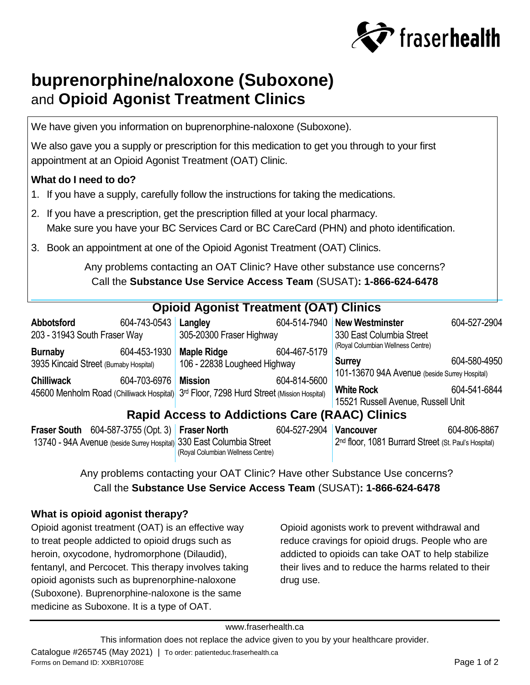

# **buprenorphine/naloxone (Suboxone)** and **Opioid Agonist Treatment Clinics**

We have given you information on buprenorphine-naloxone (Suboxone).

We also gave you a supply or prescription for this medication to get you through to your first appointment at an Opioid Agonist Treatment (OAT) Clinic.

# **What do I need to do?**

- 1. If you have a supply, carefully follow the instructions for taking the medications.
- 2. If you have a prescription, get the prescription filled at your local pharmacy. Make sure you have your BC Services Card or BC CareCard (PHN) and photo identification.
- 3. Book an appointment at one of the Opioid Agonist Treatment (OAT) Clinics.

Any problems contacting an OAT Clinic? Have other substance use concerns? Call the **Substance Use Service Access Team** (SUSAT)**: 1-866-624-6478**

#### **Opioid Agonist Treatment (OAT) Clinics Abbotsford** 604-743-0543 **Langley** 203 - 31943 South Fraser Way **Burnaby** 604-453-1930 3935 Kincaid Street (Burnaby Hospital) **Chilliwack** 604-703-6976 45600 Menholm Road (Chilliwack Hospital) 3rd Floor, 7298 Hurd Street (Mission Hospital) **Langley** 604-514-7940 **New Westminster** 604-527-2904 305-20300 Fraser Highway **Maple Ridge** 604-467-5179 106 - 22838 Lougheed Highway **Mission** 604-814-5600 330 East Columbia Street (Royal Columbian Wellness Centre) **Surrey** 604-580-4950 101-13670 94A Avenue (beside Surrey Hospital) **White Rock** 604-541-6844 15521 Russell Avenue, Russell Unit **Rapid Access to Addictions Care (RAAC) Clinics Fraser South** 604-587-3755 (Opt. 3) **Fraser North Fraser North** 604-527-2904 **Vancouver** 604-806-8867

| <b>TRIGGER OUGHT OUT-UP TO LODGER IN THE TIME I</b>                  |                                   | <b>UUTULI LUUT IVAIILUUVUI</b> | uu <del>u r</del> uuu ruuu                                       |
|----------------------------------------------------------------------|-----------------------------------|--------------------------------|------------------------------------------------------------------|
| 13740 - 94A Avenue (beside Surrey Hospital) 330 East Columbia Street |                                   |                                | 2 <sup>nd</sup> floor, 1081 Burrard Street (St. Paul's Hospital) |
|                                                                      | (Royal Columbian Wellness Centre) |                                |                                                                  |

Any problems contacting your OAT Clinic? Have other Substance Use concerns? Call the **Substance Use Service Access Team** (SUSAT)**: 1-866-624-6478**

# **What is opioid agonist therapy?**

Opioid agonist treatment (OAT) is an effective way to treat people addicted to opioid drugs such as heroin, oxycodone, hydromorphone (Dilaudid), fentanyl, and Percocet. This therapy involves taking opioid agonists such as buprenorphine-naloxone (Suboxone). Buprenorphine-naloxone is the same medicine as Suboxone. It is a type of OAT.

Opioid agonists work to prevent withdrawal and reduce cravings for opioid drugs. People who are addicted to opioids can take OAT to help stabilize their lives and to reduce the harms related to their drug use.

### www.fraserhealth.ca

This information does not replace the advice given to you by your healthcare provider.